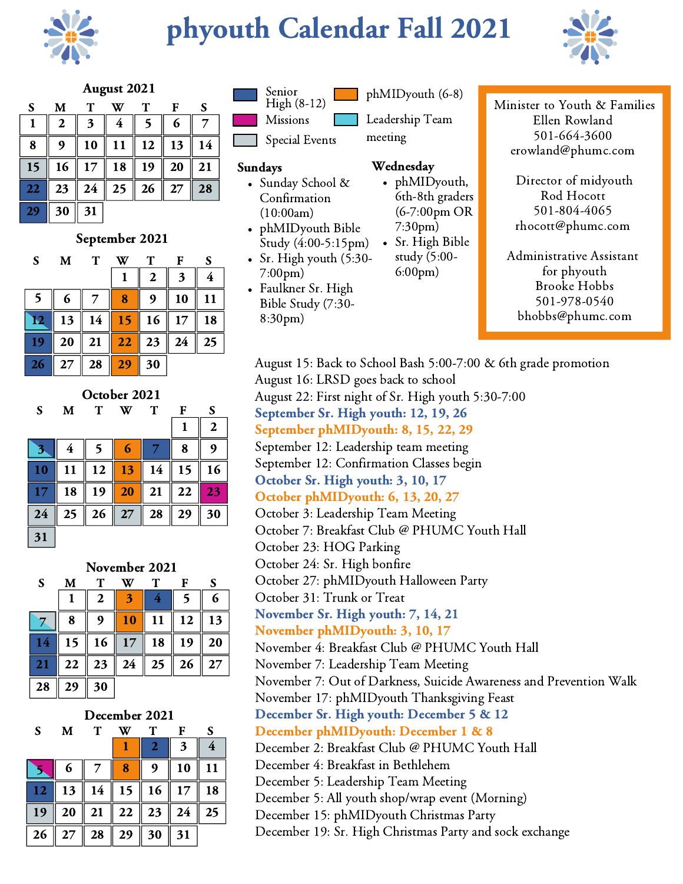

## phyouth Calendar Fall 2021



### August 2021

| S  | M  | T  | W              | т  | F  | S  |
|----|----|----|----------------|----|----|----|
|    | 2  | 3  | $\overline{4}$ |    | 6  |    |
| 8  | 9  | 10 | 11             | 12 | 13 | 14 |
| 15 | 16 | 17 | 18             | 19 | 20 | 21 |
| 22 | 23 | 24 | 25             | 26 | 27 | 28 |
| 29 | 30 | 31 |                |    |    |    |

### September 2021

| S                                 | M  | $\mathbf T$ |    | Т  | F  | S  |
|-----------------------------------|----|-------------|----|----|----|----|
|                                   |    |             |    | 2  | 3  |    |
| 5                                 | 6  |             | 8  |    | 10 | 11 |
| $\mathbf{E}% _{0}\left( t\right)$ | 13 | 14          | 15 | 16 | 17 | 18 |
| 19                                | 20 | 21          | 22 | 23 | 24 | 25 |
| 26                                | 27 | 28          | 29 | 30 |    |    |

October 2021

| S  | M  | Т  | W  | т  | F  | S  |
|----|----|----|----|----|----|----|
|    |    |    |    |    | 1  | 2  |
| ♦  | 4  | 5  | 6  |    | 8  |    |
| 10 | 11 | 12 | 13 | 14 | 15 | 16 |
| 17 | 18 | 19 | 20 | 21 | 22 | 23 |
| 24 | 25 | 26 | 27 | 28 | 29 | 30 |
| 31 |    |    |    |    |    |    |

| November 2021 |    |                  |    |    |    |    |  |  |  |  |
|---------------|----|------------------|----|----|----|----|--|--|--|--|
| S             | М  | Т                |    | Т  | F  | S  |  |  |  |  |
|               | 1  | $\boldsymbol{2}$ | Ħ  | 4  |    | 6  |  |  |  |  |
|               | 8  |                  | 10 | 11 | 12 | 13 |  |  |  |  |
| 14            | 15 | 16               | 17 | 18 | 19 | 20 |  |  |  |  |
| 21            | 22 | 23               | 24 | 25 | 26 | 27 |  |  |  |  |
| 28            | 29 | 30               |    |    |    |    |  |  |  |  |

### December 2021

F

| S          | M  | т  |    | ፐ  | F  | S  |
|------------|----|----|----|----|----|----|
|            |    |    |    | 2  | 3  |    |
|            | 6  |    | 8  | 9  | 10 | 11 |
| 12         | 13 | 14 | 15 | 16 | 17 | 18 |
| 19         | 20 | 21 | 22 | 23 | 24 | 25 |
| $\vert$ 26 | 27 | 28 | 29 | 30 | 31 |    |



phMIDyouth (6-8)

Missions

Special Events

### Sundays

Sunday School & Confirmation (10:00am)

phMIDyouth Bible Study (4:00-5:15pm)

- Sr. High youth (5:30- 7:00pm)
- Faulkner Sr. High Bible Study (7:30- 8:30pm)

Leadership Team meeting

### Wednesday

phMIDyouth, 6th-8th graders (6-7:00pm OR 7:30pm)

Sr. High Bible study (5:00- 6:00pm)

Minister to Youth & Families Ellen Rowland 501-664-3600 erowland@phumc.com

> Director of midyouth Rod Hocott 501-804-4065 rhocott@phumc.com

Administrative Assistant for phyouth Brooke Hobbs 501-978-0540 bhobbs@phumc.com

August 15: Back to School Bash 5:00-7:00 & 6th grade promotion August 16: LRSD goes back to school August 22: First night of Sr. High youth 5:30-7:00 September Sr. High youth: 12, 19, 26 September phMIDyouth: 8, 15, 22, 29 September 12: Leadership team meeting September 12: Confirmation Classes begin October Sr. High youth: 3, 10, 17 October phMIDyouth: 6, 13, 20, 27 October 3: Leadership Team Meeting October 7: Breakfast Club @ PHUMC Youth Hall October 23: HOG Parking October 24: Sr. High bonfire October 27: phMIDyouth Halloween Party October 31: Trunk or Treat November Sr. High youth: 7, 14, 21 November phMIDyouth: 3, 10, 17 November 4: Breakfast Club @ PHUMC Youth Hall November 7: Leadership Team Meeting November 7: Out of Darkness, Suicide Awareness and Prevention Walk November 17: phMIDyouth Thanksgiving Feast December Sr. High youth: December 5 & 12 December phMIDyouth: December 1 & 8 December 2: Breakfast Club @ PHUMC Youth Hall December 4: Breakfast in Bethlehem December 5: Leadership Team Meeting December 5: All youth shop/wrap event (Morning) December 15: phMIDyouth Christmas Party December 19: Sr. High Christmas Party and sock exchange